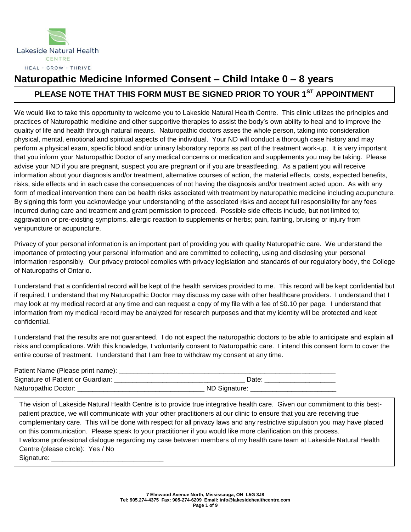

# **Naturopathic Medicine Informed Consent – Child Intake 0 – 8 years**

# **PLEASE NOTE THAT THIS FORM MUST BE SIGNED PRIOR TO YOUR 1ST APPOINTMENT**

We would like to take this opportunity to welcome you to Lakeside Natural Health Centre. This clinic utilizes the principles and practices of Naturopathic medicine and other supportive therapies to assist the body's own ability to heal and to improve the quality of life and health through natural means. Naturopathic doctors asses the whole person, taking into consideration physical, mental, emotional and spiritual aspects of the individual. Your ND will conduct a thorough case history and may perform a physical exam, specific blood and/or urinary laboratory reports as part of the treatment work-up. It is very important that you inform your Naturopathic Doctor of any medical concerns or medication and supplements you may be taking. Please advise your ND if you are pregnant, suspect you are pregnant or if you are breastfeeding. As a patient you will receive information about your diagnosis and/or treatment, alternative courses of action, the material effects, costs, expected benefits, risks, side effects and in each case the consequences of not having the diagnosis and/or treatment acted upon. As with any form of medical intervention there can be health risks associated with treatment by naturopathic medicine including acupuncture. By signing this form you acknowledge your understanding of the associated risks and accept full responsibility for any fees incurred during care and treatment and grant permission to proceed. Possible side effects include, but not limited to; aggravation or pre-existing symptoms, allergic reaction to supplements or herbs; pain, fainting, bruising or injury from venipuncture or acupuncture.

Privacy of your personal information is an important part of providing you with quality Naturopathic care. We understand the importance of protecting your personal information and are committed to collecting, using and disclosing your personal information responsibly. Our privacy protocol complies with privacy legislation and standards of our regulatory body, the College of Naturopaths of Ontario.

I understand that a confidential record will be kept of the health services provided to me. This record will be kept confidential but if required, I understand that my Naturopathic Doctor may discuss my case with other healthcare providers. I understand that I may look at my medical record at any time and can request a copy of my file with a fee of \$0.10 per page. I understand that information from my medical record may be analyzed for research purposes and that my identity will be protected and kept confidential.

I understand that the results are not guaranteed. I do not expect the naturopathic doctors to be able to anticipate and explain all risks and complications. With this knowledge, I voluntarily consent to Naturopathic care. I intend this consent form to cover the entire course of treatment. I understand that I am free to withdraw my consent at any time.

| Patient Name (Please print name): |               |
|-----------------------------------|---------------|
| Signature of Patient or Guardian: | Date:         |
| Naturopathic Doctor:              | ND Signature: |

The vision of Lakeside Natural Health Centre is to provide true integrative health care. Given our commitment to this bestpatient practice, we will communicate with your other practitioners at our clinic to ensure that you are receiving true complementary care. This will be done with respect for all privacy laws and any restrictive stipulation you may have placed on this communication. Please speak to your practitioner if you would like more clarification on this process. I welcome professional dialogue regarding my case between members of my health care team at Lakeside Natural Health Centre (please circle): Yes / No Signature: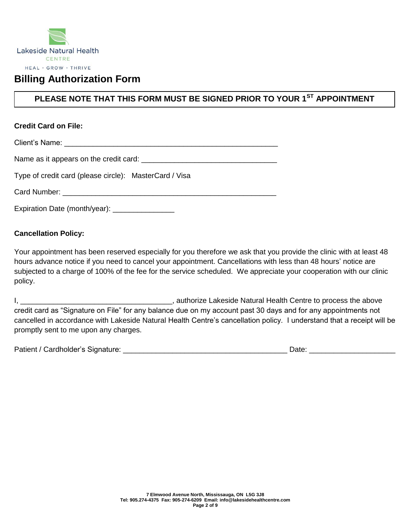

## **Billing Authorization Form**

# **PLEASE NOTE THAT THIS FORM MUST BE SIGNED PRIOR TO YOUR 1ST APPOINTMENT**

## **Credit Card on File:**

Client's Name: \_\_\_\_\_\_\_\_\_\_\_\_\_\_\_\_\_\_\_\_\_\_\_\_\_\_\_\_\_\_\_\_\_\_\_\_\_\_\_\_\_\_\_\_\_\_\_\_\_\_\_\_

Name as it appears on the credit card: \_\_\_\_\_\_\_\_\_\_\_\_\_\_\_\_\_\_\_\_\_\_\_\_\_\_\_\_\_\_\_\_\_

Type of credit card (please circle): MasterCard / Visa

| Card Number: |  |  |  |  |
|--------------|--|--|--|--|
|--------------|--|--|--|--|

Expiration Date (month/year): \_\_\_\_\_\_\_\_\_\_\_\_\_\_\_\_

## **Cancellation Policy:**

Your appointment has been reserved especially for you therefore we ask that you provide the clinic with at least 48 hours advance notice if you need to cancel your appointment. Cancellations with less than 48 hours' notice are subjected to a charge of 100% of the fee for the service scheduled. We appreciate your cooperation with our clinic policy.

I, \_\_\_\_\_\_\_\_\_\_\_\_\_\_\_\_\_\_\_\_\_\_\_\_\_\_\_\_\_\_\_\_\_\_\_\_\_, authorize Lakeside Natural Health Centre to process the above credit card as "Signature on File" for any balance due on my account past 30 days and for any appointments not cancelled in accordance with Lakeside Natural Health Centre's cancellation policy. I understand that a receipt will be promptly sent to me upon any charges.

| Patient / Cardholder's Signature: | Date |
|-----------------------------------|------|
|-----------------------------------|------|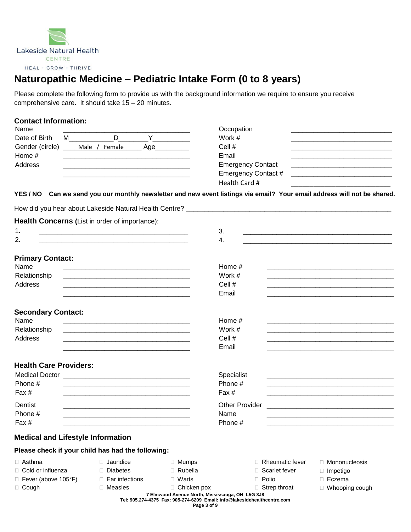

# **Naturopathic Medicine – Pediatric Intake Form (0 to 8 years)**

Please complete the following form to provide us with the background information we require to ensure you receive comprehensive care. It should take 15 – 20 minutes.

### **Contact Information:**

| Name                          |                                                                      |                                                                                                                          | Occupation               |                                                                |
|-------------------------------|----------------------------------------------------------------------|--------------------------------------------------------------------------------------------------------------------------|--------------------------|----------------------------------------------------------------|
| Date of Birth                 | D<br>М                                                               |                                                                                                                          | Work #                   |                                                                |
| Gender (circle)               | Male / Female                                                        | $\overline{\phantom{a}}$ Age                                                                                             | Cell #                   |                                                                |
| Home #                        | <u> 1980 - Johann Barn, mars an t-Amerikaansk politiker (* 1908)</u> |                                                                                                                          | Email                    |                                                                |
| Address                       |                                                                      |                                                                                                                          | <b>Emergency Contact</b> |                                                                |
|                               |                                                                      |                                                                                                                          | Emergency Contact #      | <u> 1989 - Johann Barbara, margaret eta idazlea (h. 1989).</u> |
|                               |                                                                      |                                                                                                                          | Health Card #            |                                                                |
|                               |                                                                      | YES / NO Can we send you our monthly newsletter and new event listings via email? Your email address will not be shared. |                          |                                                                |
|                               |                                                                      |                                                                                                                          |                          |                                                                |
|                               | Health Concerns (List in order of importance):                       |                                                                                                                          |                          |                                                                |
| 1.                            |                                                                      | 3.                                                                                                                       |                          |                                                                |
| 2.                            |                                                                      | 4.                                                                                                                       |                          |                                                                |
| <b>Primary Contact:</b>       |                                                                      |                                                                                                                          |                          |                                                                |
| Name                          |                                                                      |                                                                                                                          | Home #                   |                                                                |
| Relationship                  | <u> 1980 - Johann Barn, margaret eta idazlear (h. 1980).</u>         |                                                                                                                          | Work #                   |                                                                |
| <b>Address</b>                |                                                                      |                                                                                                                          | Cell #                   |                                                                |
|                               |                                                                      |                                                                                                                          | Email                    |                                                                |
| <b>Secondary Contact:</b>     |                                                                      |                                                                                                                          |                          |                                                                |
| Name                          |                                                                      |                                                                                                                          | Home #                   |                                                                |
| Relationship                  |                                                                      |                                                                                                                          | Work #                   |                                                                |
| Address                       |                                                                      |                                                                                                                          | Cell #                   |                                                                |
|                               |                                                                      |                                                                                                                          | Email                    |                                                                |
| <b>Health Care Providers:</b> |                                                                      |                                                                                                                          |                          |                                                                |
|                               |                                                                      |                                                                                                                          | Specialist               |                                                                |
| Phone #                       |                                                                      |                                                                                                                          | Phone #                  |                                                                |
| Fax #                         |                                                                      |                                                                                                                          | Fax #                    |                                                                |
| Dentist                       |                                                                      |                                                                                                                          | <b>Other Provider</b>    |                                                                |
| Phone #                       |                                                                      |                                                                                                                          | Name                     |                                                                |
| Fax #                         |                                                                      |                                                                                                                          | Phone #                  |                                                                |
|                               | <b>Medical and Lifestyle Information</b>                             |                                                                                                                          |                          |                                                                |
|                               | Please check if your child has had the following:                    |                                                                                                                          |                          |                                                                |
| $\Box$ Asthma                 | $\Box$ Jaundice                                                      | □ Mumps                                                                                                                  | $\Box$ Rheumatic fever   | $\Box$ Mononucleosis                                           |
| $\Box$ Cold or influenza      | $\Box$ Diabetes                                                      | $\Box$ Rubella                                                                                                           | Scarlet fever<br>п       | $\Box$ Impetigo                                                |
| $\Box$ Fever (above 105°F)    | $\Box$ Ear infections                                                | $\Box$ Warts                                                                                                             | $\Box$ Polio             | $\Box$ Eczema                                                  |
| □ Cough                       |                                                                      | $\Box$ Chicken pox                                                                                                       | $\Box$ Strep throat      | □ Whooping cough                                               |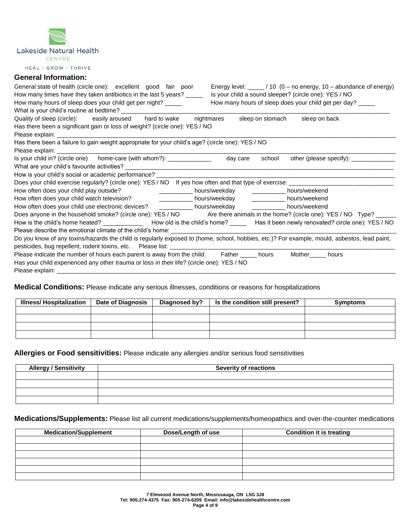

| <b>General Information:</b>                                                                                                                          |
|------------------------------------------------------------------------------------------------------------------------------------------------------|
| Energy level: $\frac{1}{\sqrt{10}}$ / 10 (0 – no energy, 10 – abundance of energy)<br>General state of health (circle one): excellent good fair poor |
| How many times have they taken antibiotics in the last 5 years? _____<br>Is your child a sound sleeper? (circle one): YES / NO                       |
| How many hours of sleep does your child get per night? _____<br>How many hours of sleep does your child get per day? _____                           |
|                                                                                                                                                      |
| nightmares<br>sleep on stomach<br>Quality of sleep (circle): easily aroused hard to wake<br>sleep on back                                            |
| Has there been a significant gain or loss of weight? (circle one): YES / NO                                                                          |
| Please explain:                                                                                                                                      |
| Has there been a failure to gain weight appropriate for your child's age? (circle one): YES / NO                                                     |
| Please explain:                                                                                                                                      |
| Is your child in? (circle one) home-care (with whom?): _______________<br>day care<br>school                                                         |
|                                                                                                                                                      |
| How is your child's social or academic performance? ______________                                                                                   |
|                                                                                                                                                      |
| How often does your child play outside?<br>_____________ hours/weekday _____________ hours/weekend                                                   |
| How often does your child watch television? ___________________ hours/weekday _______________ hours/weekend                                          |
| How often does your child use electronic devices? ____________ hours/weekday ____________ hours/weekend                                              |
| Does anyone in the household smoke? (circle one): YES / NO Are there animals in the home? (circle one): YES / NO Type?                               |
| How is the child's home heated? ________________ How old is the child's home? _______ Has it been newly renovated? circle one): YES / NO             |
| Please describe the emotional climate of the child's home:                                                                                           |
| Do you know of any toxins/hazards the child is regularly exposed to (home, school, hobbies, etc.)? For example, mould, asbestos, lead paint,         |
| pesticides, bug repellent, rodent toxins, etc. Please list: ___________________________                                                              |
| Please indicate the number of hours each parent is away from the child. Father _____ hours<br>Mother<br>hours                                        |
| Has your child experienced any other trauma or loss in their life? (circle one): YES / NO                                                            |
|                                                                                                                                                      |

## **Medical Conditions:** Please indicate any serious illnesses, conditions or reasons for hospitalizations

| <b>Illness/ Hospitalization</b> | <b>Date of Diagnosis</b> | Diagnosed by? | Is the condition still present? | <b>Symptoms</b> |
|---------------------------------|--------------------------|---------------|---------------------------------|-----------------|
|                                 |                          |               |                                 |                 |
|                                 |                          |               |                                 |                 |
|                                 |                          |               |                                 |                 |
|                                 |                          |               |                                 |                 |

#### **Allergies or Food sensitivities:** Please indicate any allergies and/or serious food sensitivities

| <b>Allergy / Sensitivity</b> | <b>Severity of reactions</b> |
|------------------------------|------------------------------|
|                              |                              |
|                              |                              |
|                              |                              |
|                              |                              |

#### **Medications/Supplements:** Please list all current medications/supplements/homeopathics and over-the-counter medications

| <b>Medication/Supplement</b> | Dose/Length of use | <b>Condition it is treating</b> |
|------------------------------|--------------------|---------------------------------|
|                              |                    |                                 |
|                              |                    |                                 |
|                              |                    |                                 |
|                              |                    |                                 |
|                              |                    |                                 |
|                              |                    |                                 |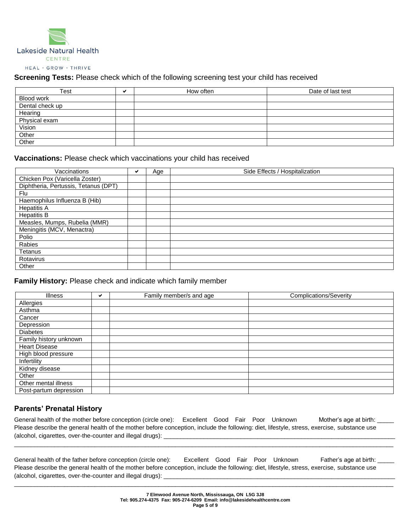

#### **Screening Tests:** Please check which of the following screening test your child has received

| Test            | M | How often | Date of last test |
|-----------------|---|-----------|-------------------|
| Blood work      |   |           |                   |
| Dental check up |   |           |                   |
| Hearing         |   |           |                   |
| Physical exam   |   |           |                   |
| Vision          |   |           |                   |
| Other           |   |           |                   |
| Other           |   |           |                   |

#### **Vaccinations:** Please check which vaccinations your child has received

| Vaccinations                         | ✔ | Age | Side Effects / Hospitalization |
|--------------------------------------|---|-----|--------------------------------|
| Chicken Pox (Varicella Zoster)       |   |     |                                |
| Diphtheria, Pertussis, Tetanus (DPT) |   |     |                                |
| Flu                                  |   |     |                                |
| Haemophilus Influenza B (Hib)        |   |     |                                |
| <b>Hepatitis A</b>                   |   |     |                                |
| <b>Hepatitis B</b>                   |   |     |                                |
| Measles, Mumps, Rubelia (MMR)        |   |     |                                |
| Meningitis (MCV, Menactra)           |   |     |                                |
| Polio                                |   |     |                                |
| Rabies                               |   |     |                                |
| Tetanus                              |   |     |                                |
| Rotavirus                            |   |     |                                |
| Other                                |   |     |                                |

#### **Family History:** Please check and indicate which family member

| Illness                | ✔ | Family member/s and age | <b>Complications/Severity</b> |
|------------------------|---|-------------------------|-------------------------------|
| Allergies              |   |                         |                               |
| Asthma                 |   |                         |                               |
| Cancer                 |   |                         |                               |
| Depression             |   |                         |                               |
| <b>Diabetes</b>        |   |                         |                               |
| Family history unknown |   |                         |                               |
| <b>Heart Disease</b>   |   |                         |                               |
| High blood pressure    |   |                         |                               |
| Infertility            |   |                         |                               |
| Kidney disease         |   |                         |                               |
| Other                  |   |                         |                               |
| Other mental illness   |   |                         |                               |
| Post-partum depression |   |                         |                               |

#### **Parents' Prenatal History**

General health of the mother before conception (circle one): Excellent Good Fair Poor Unknown Mother's age at birth: Please describe the general health of the mother before conception, include the following: diet, lifestyle, stress, exercise, substance use (alcohol, cigarettes, over-the-counter and illegal drugs): \_\_\_

\_\_\_\_\_\_\_\_\_\_\_\_\_\_\_\_\_\_\_\_\_\_\_\_\_\_\_\_\_\_\_\_\_\_\_\_\_\_\_\_\_\_\_\_\_\_\_\_\_\_\_\_\_\_\_\_\_\_\_\_\_\_\_\_\_\_\_\_\_\_\_\_\_\_\_\_\_\_\_\_\_\_\_\_\_\_\_\_\_\_\_\_\_\_\_\_\_\_\_\_\_\_\_\_\_\_\_\_\_\_\_\_\_

General health of the father before conception (circle one): Excellent Good Fair Poor Unknown Father's age at birth: Please describe the general health of the mother before conception, include the following: diet, lifestyle, stress, exercise, substance use (alcohol, cigarettes, over-the-counter and illegal drugs):

\_\_\_\_\_\_\_\_\_\_\_\_\_\_\_\_\_\_\_\_\_\_\_\_\_\_\_\_\_\_\_\_\_\_\_\_\_\_\_\_\_\_\_\_\_\_\_\_\_\_\_\_\_\_\_\_\_\_\_\_\_\_\_\_\_\_\_\_\_\_\_\_\_\_\_\_\_\_\_\_\_\_\_\_\_\_\_\_\_\_\_\_\_\_\_\_\_\_\_\_\_\_\_\_\_\_\_\_\_\_\_\_\_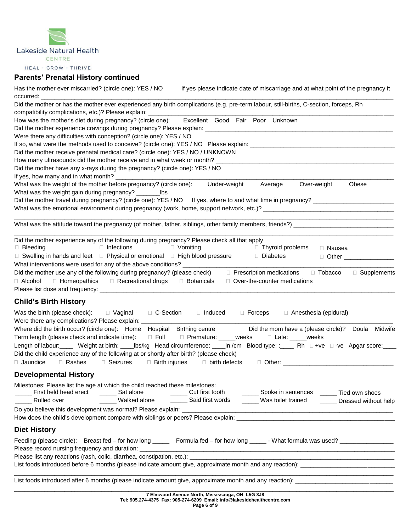

#### HEAL · GROW · THRIVE

## **Parents' Prenatal History continued**

| Parents' Prenatal History continued                                                                                                                                                                                                                                                                                                                                         |
|-----------------------------------------------------------------------------------------------------------------------------------------------------------------------------------------------------------------------------------------------------------------------------------------------------------------------------------------------------------------------------|
| Has the mother ever miscarried? (circle one): YES / NO<br>If yes please indicate date of miscarriage and at what point of the pregnancy it<br>occurred: and the contract of the contract of the contract of the contract of the contract of the contract of the contract of the contract of the contract of the contract of the contract of the contract of the contract of |
| Did the mother or has the mother ever experienced any birth complications (e.g. pre-term labour, still-births, C-section, forceps, Rh<br>compatibility complications, etc.)? Please explain: ____________________________                                                                                                                                                   |
| How was the mother's diet during pregnancy? (circle one): Excellent Good Fair Poor Unknown                                                                                                                                                                                                                                                                                  |
| Did the mother experience cravings during pregnancy? Please explain:                                                                                                                                                                                                                                                                                                        |
| Were there any difficulties with conception? (circle one): YES / NO                                                                                                                                                                                                                                                                                                         |
| If so, what were the methods used to conceive? (circle one): YES / NO Please explain: ________________________                                                                                                                                                                                                                                                              |
| Did the mother receive prenatal medical care? (circle one): YES / NO / UNKNOWN                                                                                                                                                                                                                                                                                              |
| How many ultrasounds did the mother receive and in what week or month? ____________________________                                                                                                                                                                                                                                                                         |
| Did the mother have any x-rays during the pregnancy? (circle one): YES / NO                                                                                                                                                                                                                                                                                                 |
|                                                                                                                                                                                                                                                                                                                                                                             |
| Under-weight<br>What was the weight of the mother before pregnancy? (circle one):<br>Average<br>Over-weight<br>Obese                                                                                                                                                                                                                                                        |
|                                                                                                                                                                                                                                                                                                                                                                             |
| Did the mother travel during pregnancy? (circle one): YES / NO If yes, where to and what time in pregnancy? ___________________________                                                                                                                                                                                                                                     |
|                                                                                                                                                                                                                                                                                                                                                                             |
|                                                                                                                                                                                                                                                                                                                                                                             |
| Did the mother experience any of the following during pregnancy? Please check all that apply                                                                                                                                                                                                                                                                                |
| $\Box$ Bleeding<br>□ Infections □ Vomiting<br>$\Box$ Thyroid problems<br>□ Nausea                                                                                                                                                                                                                                                                                           |
| $\Box$ Swelling in hands and feet $\Box$ Physical or emotional $\Box$ High blood pressure<br>Diabetes<br>$\Box$ Other                                                                                                                                                                                                                                                       |
| What interventions were used for any of the above conditions?                                                                                                                                                                                                                                                                                                               |

|                |                                 | Did the mother use any of the following during pregnancy? (please check) |              | □ Prescription medications     | $\Box$ Tobacco | □ Supplements |
|----------------|---------------------------------|--------------------------------------------------------------------------|--------------|--------------------------------|----------------|---------------|
| $\Box$ Alcohol | □ Homeopathics                  | $\Box$ Recreational drugs                                                | □ Botanicals | □ Over-the-counter medications |                |               |
|                | Please list dose and frequency: |                                                                          |              |                                |                |               |

## **Child's Birth History**

| Was the birth (please check): $\Box$ Vaginal $\Box$ C-Section $\Box$ Induced                                                            |  |  | $\Box$ Forceps $\Box$ Anesthesia (epidural) |                      |  |
|-----------------------------------------------------------------------------------------------------------------------------------------|--|--|---------------------------------------------|----------------------|--|
| Were there any complications? Please explain: __________________________________                                                        |  |  |                                             |                      |  |
| Where did the birth occur? (circle one): Home Hospital Birthing centre Did the mom have a (please circle)? Doula Midwife                |  |  |                                             |                      |  |
| Term length (please check and indicate time): □ Full □ Premature: ____weeks □ Late: ____weeks                                           |  |  |                                             |                      |  |
| Length of labour: ____ Weight at birth: _____lbs/kg Head circumference: _____in./cm Blood type: :____ Rh □ +ve □ -ve Apgar score: ____  |  |  |                                             |                      |  |
| Did the child experience any of the following at or shortly after birth? (please check)                                                 |  |  |                                             |                      |  |
|                                                                                                                                         |  |  |                                             |                      |  |
| <b>Developmental History</b>                                                                                                            |  |  |                                             |                      |  |
| Milestones: Please list the age at which the child reached these milestones:                                                            |  |  |                                             |                      |  |
| First held head erect ________ Sat alone ____________ Cut first tooth _________ Spoke in sentences _______ Tied own shoes               |  |  |                                             |                      |  |
| _______ Rolled over __________________ Walked alone __________ Said first words ________ Was toilet trained                             |  |  |                                             | Dressed without help |  |
|                                                                                                                                         |  |  |                                             |                      |  |
| How does the child's development compare with siblings or peers? Please explain: National Company of the child                          |  |  |                                             |                      |  |
| <b>Diet History</b>                                                                                                                     |  |  |                                             |                      |  |
| Feeding (please circle): Breast fed – for how long ______ Formula fed – for how long ______- What formula was used? ________________    |  |  |                                             |                      |  |
|                                                                                                                                         |  |  |                                             |                      |  |
|                                                                                                                                         |  |  |                                             |                      |  |
| List foods introduced before 6 months (please indicate amount give, approximate month and any reaction): ______________________________ |  |  |                                             |                      |  |
|                                                                                                                                         |  |  |                                             |                      |  |
| List foods introduced after 6 months (please indicate amount give, approximate month and any reaction): _______________________________ |  |  |                                             |                      |  |
|                                                                                                                                         |  |  |                                             |                      |  |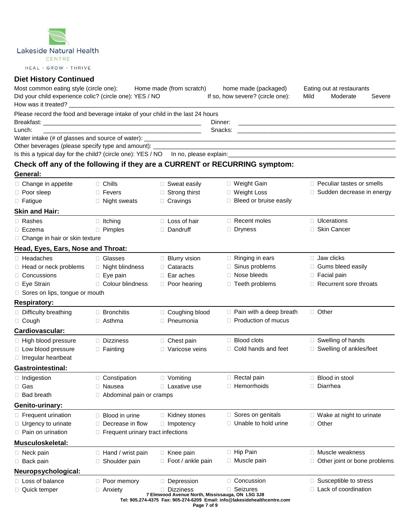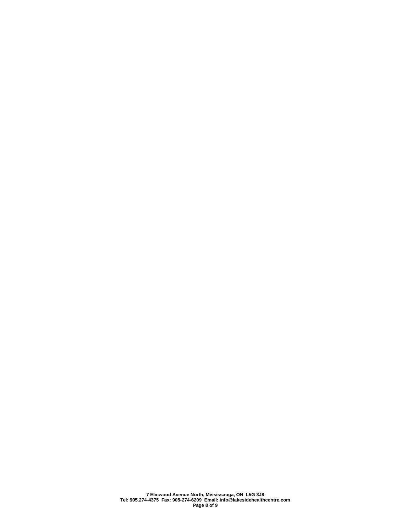**7 Elmwood Avenue North, Mississauga, ON L5G 3J8 Tel: 905.274-4375 Fax: 905-274-6209 Email: info@lakesidehealthcentre.com Page 8 of 9**